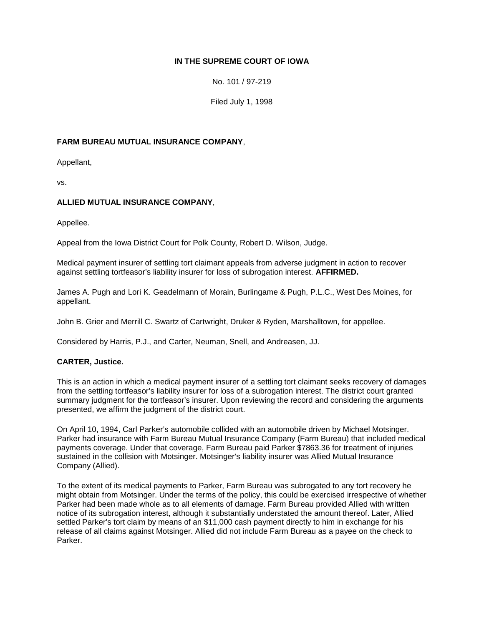# **IN THE SUPREME COURT OF IOWA**

No. 101 / 97-219

Filed July 1, 1998

# **FARM BUREAU MUTUAL INSURANCE COMPANY**,

Appellant,

vs.

### **ALLIED MUTUAL INSURANCE COMPANY**,

Appellee.

Appeal from the Iowa District Court for Polk County, Robert D. Wilson, Judge.

Medical payment insurer of settling tort claimant appeals from adverse judgment in action to recover against settling tortfeasor's liability insurer for loss of subrogation interest. **AFFIRMED.**

James A. Pugh and Lori K. Geadelmann of Morain, Burlingame & Pugh, P.L.C., West Des Moines, for appellant.

John B. Grier and Merrill C. Swartz of Cartwright, Druker & Ryden, Marshalltown, for appellee.

Considered by Harris, P.J., and Carter, Neuman, Snell, and Andreasen, JJ.

# **CARTER, Justice.**

This is an action in which a medical payment insurer of a settling tort claimant seeks recovery of damages from the settling tortfeasor's liability insurer for loss of a subrogation interest. The district court granted summary judgment for the tortfeasor's insurer. Upon reviewing the record and considering the arguments presented, we affirm the judgment of the district court.

On April 10, 1994, Carl Parker's automobile collided with an automobile driven by Michael Motsinger. Parker had insurance with Farm Bureau Mutual Insurance Company (Farm Bureau) that included medical payments coverage. Under that coverage, Farm Bureau paid Parker \$7863.36 for treatment of injuries sustained in the collision with Motsinger. Motsinger's liability insurer was Allied Mutual Insurance Company (Allied).

To the extent of its medical payments to Parker, Farm Bureau was subrogated to any tort recovery he might obtain from Motsinger. Under the terms of the policy, this could be exercised irrespective of whether Parker had been made whole as to all elements of damage. Farm Bureau provided Allied with written notice of its subrogation interest, although it substantially understated the amount thereof. Later, Allied settled Parker's tort claim by means of an \$11,000 cash payment directly to him in exchange for his release of all claims against Motsinger. Allied did not include Farm Bureau as a payee on the check to Parker.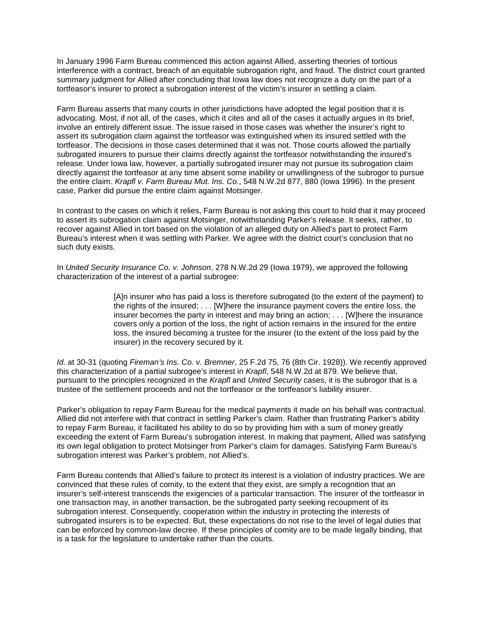In January 1996 Farm Bureau commenced this action against Allied, asserting theories of tortious interference with a contract, breach of an equitable subrogation right, and fraud. The district court granted summary judgment for Allied after concluding that Iowa law does not recognize a duty on the part of a tortfeasor's insurer to protect a subrogation interest of the victim's insurer in settling a claim.

Farm Bureau asserts that many courts in other jurisdictions have adopted the legal position that it is advocating. Most, if not all, of the cases, which it cites and all of the cases it actually argues in its brief, involve an entirely different issue. The issue raised in those cases was whether the insurer's right to assert its subrogation claim against the tortfeasor was extinguished when its insured settled with the tortfeasor. The decisions in those cases determined that it was not. Those courts allowed the partially subrogated insurers to pursue their claims directly against the tortfeasor notwithstanding the insured's release. Under Iowa law, however, a partially subrogated insurer may not pursue its subrogation claim directly against the tortfeasor at any time absent some inability or unwillingness of the subrogor to pursue the entire claim. *Krapfl v. Farm Bureau Mut. Ins. Co.*, 548 N.W.2d 877, 880 (Iowa 1996). In the present case, Parker did pursue the entire claim against Motsinger.

In contrast to the cases on which it relies, Farm Bureau is not asking this court to hold that it may proceed to assert its subrogation claim against Motsinger, notwithstanding Parker's release. It seeks, rather, to recover against Allied in tort based on the violation of an alleged duty on Allied's part to protect Farm Bureau's interest when it was settling with Parker. We agree with the district court's conclusion that no such duty exists.

In *United Security Insurance Co. v. Johnson*, 278 N.W.2d 29 (Iowa 1979), we approved the following characterization of the interest of a partial subrogee:

> [A]n insurer who has paid a loss is therefore subrogated (to the extent of the payment) to the rights of the insured; . . . [W]here the insurance payment covers the entire loss, the insurer becomes the party in interest and may bring an action; . . . [W]here the insurance covers only a portion of the loss, the right of action remains in the insured for the entire loss, the insured becoming a trustee for the insurer (to the extent of the loss paid by the insurer) in the recovery secured by it.

*Id.* at 30-31 (quoting *Fireman's Ins. Co. v. Bremner*, 25 F.2d 75, 76 (8th Cir. 1928)). We recently approved this characterization of a partial subrogee's interest in *Krapfl*, 548 N.W.2d at 879. We believe that, pursuant to the principles recognized in the *Krapfl* and *United Security* cases, it is the subrogor that is a trustee of the settlement proceeds and not the tortfeasor or the tortfeasor's liability insurer.

Parker's obligation to repay Farm Bureau for the medical payments it made on his behalf was contractual. Allied did not interfere with that contract in settling Parker's claim. Rather than frustrating Parker's ability to repay Farm Bureau, it facilitated his ability to do so by providing him with a sum of money greatly exceeding the extent of Farm Bureau's subrogation interest. In making that payment, Allied was satisfying its own legal obligation to protect Motsinger from Parker's claim for damages. Satisfying Farm Bureau's subrogation interest was Parker's problem, not Allied's.

Farm Bureau contends that Allied's failure to protect its interest is a violation of industry practices. We are convinced that these rules of comity, to the extent that they exist, are simply a recognition that an insurer's self-interest transcends the exigencies of a particular transaction. The insurer of the tortfeasor in one transaction may, in another transaction, be the subrogated party seeking recoupment of its subrogation interest. Consequently, cooperation within the industry in protecting the interests of subrogated insurers is to be expected. But, these expectations do not rise to the level of legal duties that can be enforced by common-law decree. If these principles of comity are to be made legally binding, that is a task for the legislature to undertake rather than the courts.